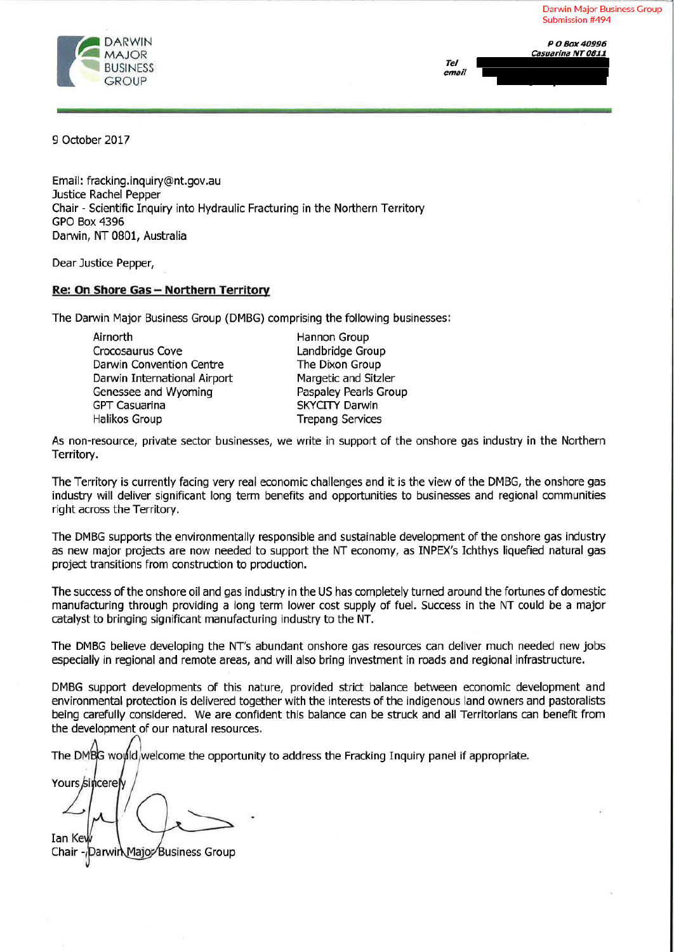**Darwin Major Business Group** Submission #494

811

P O Box 40996



|       | Casuarina NT ( |
|-------|----------------|
| Tel   |                |
| email |                |
|       |                |

9 October 2017

Email: fracking.inguiry@nt.gov.au Justice Rachel Pepper Chair - Scientific Inquiry into Hydraulic Fracturing in the Northern Territory **GPO Box 4396** Darwin, NT 0801, Australia

Dear Justice Pepper,

#### Re: On Shore Gas - Northern Territory

The Darwin Major Business Group (DMBG) comprising the following businesses:

Airnorth Crocosaurus Cove Darwin Convention Centre Darwin International Airport Genessee and Wyoming **GPT Casuarina Halikos Group** 

Hannon Group Landbridge Group The Dixon Group Margetic and Sitzler Paspaley Pearls Group **SKYCITY Darwin Trepang Services** 

As non-resource, private sector businesses, we write in support of the onshore gas industry in the Northern Territory.

The Territory is currently facing very real economic challenges and it is the view of the DMBG, the onshore gas industry will deliver significant long term benefits and opportunities to businesses and regional communities right across the Territory.

The DMBG supports the environmentally responsible and sustainable development of the onshore gas industry as new major projects are now needed to support the NT economy, as INPEX's Ichthys liquefied natural gas project transitions from construction to production.

The success of the onshore oil and gas industry in the US has completely turned around the fortunes of domestic manufacturing through providing a long term lower cost supply of fuel. Success in the NT could be a major catalyst to bringing significant manufacturing industry to the NT.

The DMBG believe developing the NT's abundant onshore gas resources can deliver much needed new jobs especially in regional and remote areas, and will also bring investment in roads and regional infrastructure.

DMBG support developments of this nature, provided strict balance between economic development and environmental protection is delivered together with the interests of the indigenous land owners and pastoralists being carefully considered. We are confident this balance can be struck and all Territorians can benefit from the development of our natural resources.

The DMBG would welcome the opportunity to address the Fracking Inquiry panel if appropriate.

Yours sincerely Ian Key

Darwin Majoz Business Group Chair -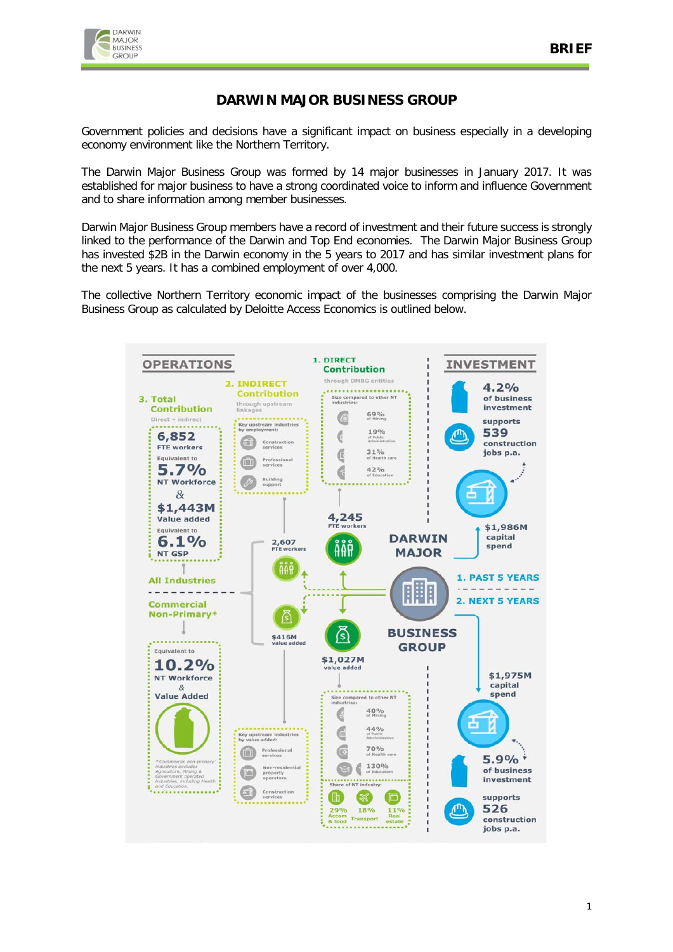

# **DARWIN MAJOR BUSINESS GROUP**

Government policies and decisions have a significant impact on business especially in a developing economy environment like the Northern Territory.

The Darwin Major Business Group was formed by 14 major businesses in January 2017. It was established for major business to have a strong coordinated voice to inform and influence Government and to share information among member businesses.

Darwin Major Business Group members have a record of investment and their future success is strongly linked to the performance of the Darwin and Top End economies. The Darwin Major Business Group has invested \$2B in the Darwin economy in the 5 years to 2017 and has similar investment plans for the next 5 years. It has a combined employment of over 4,000.

The collective Northern Territory economic impact of the businesses comprising the Darwin Major Business Group as calculated by Deloitte Access Economics is outlined below.

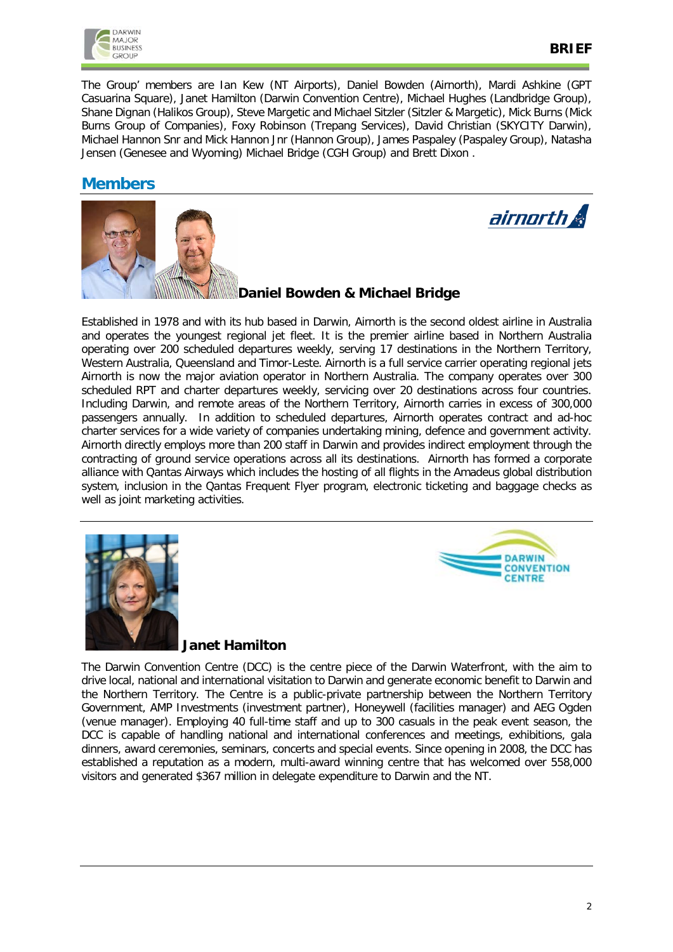

The Group' members are Ian Kew (NT Airports), Daniel Bowden (Airnorth), Mardi Ashkine (GPT Casuarina Square), Janet Hamilton (Darwin Convention Centre), Michael Hughes (Landbridge Group), Shane Dignan (Halikos Group), Steve Margetic and Michael Sitzler (Sitzler & Margetic), Mick Burns (Mick Burns Group of Companies), Foxy Robinson (Trepang Services), David Christian (SKYCITY Darwin), Michael Hannon Snr and Mick Hannon Jnr (Hannon Group), James Paspaley (Paspaley Group), Natasha Jensen (Genesee and Wyoming) Michael Bridge (CGH Group) and Brett Dixon .

# **Members**





# **Daniel Bowden & Michael Bridge**

Established in 1978 and with its hub based in Darwin, Airnorth is the second oldest airline in Australia and operates the youngest regional jet fleet. It is the premier airline based in Northern Australia operating over 200 scheduled departures weekly, serving 17 destinations in the Northern Territory, Western Australia, Queensland and Timor-Leste. Airnorth is a full service carrier operating regional jets Airnorth is now the major aviation operator in Northern Australia. The company operates over 300 scheduled RPT and charter departures weekly, servicing over 20 destinations across four countries. Including Darwin, and remote areas of the Northern Territory, Airnorth carries in excess of 300,000 passengers annually. In addition to scheduled departures, Airnorth operates contract and ad-hoc charter services for a wide variety of companies undertaking mining, defence and government activity. Airnorth directly employs more than 200 staff in Darwin and provides indirect employment through the contracting of ground service operations across all its destinations. Airnorth has formed a corporate alliance with Qantas Airways which includes the hosting of all flights in the Amadeus global distribution system, inclusion in the Qantas Frequent Flyer program, electronic ticketing and baggage checks as well as joint marketing activities.





# **Janet Hamilton**

The Darwin Convention Centre (DCC) is the centre piece of the Darwin Waterfront, with the aim to drive local, national and international visitation to Darwin and generate economic benefit to Darwin and the Northern Territory. The Centre is a public-private partnership between the Northern Territory Government, AMP Investments (investment partner), Honeywell (facilities manager) and AEG Ogden (venue manager). Employing 40 full-time staff and up to 300 casuals in the peak event season, the DCC is capable of handling national and international conferences and meetings, exhibitions, gala dinners, award ceremonies, seminars, concerts and special events. Since opening in 2008, the DCC has established a reputation as a modern, multi-award winning centre that has welcomed over 558,000 visitors and generated \$367 million in delegate expenditure to Darwin and the NT.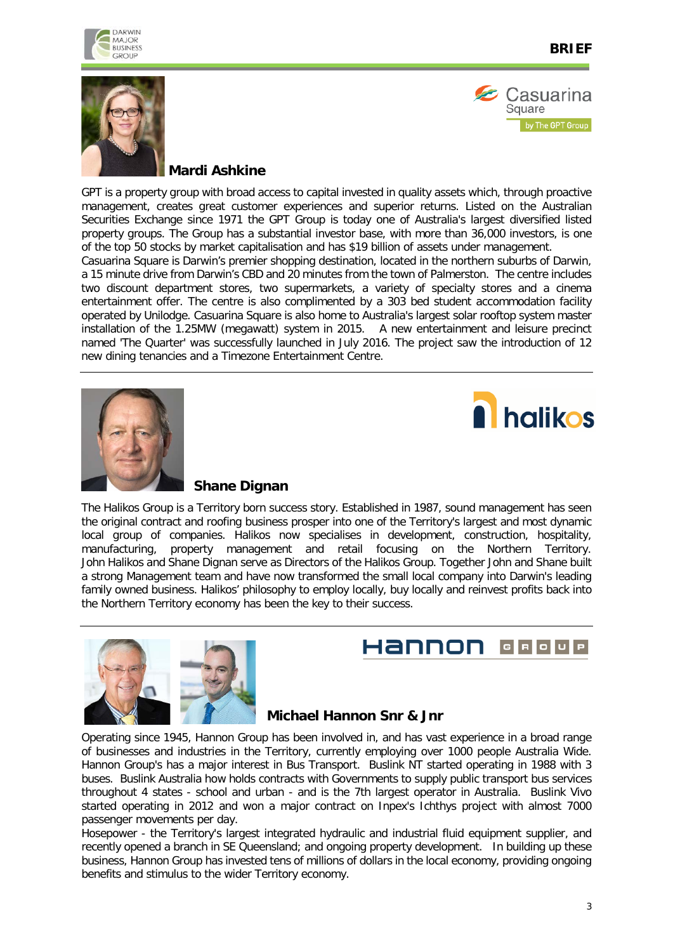





### **Mardi Ashkine**

GPT is a property group with broad access to capital invested in quality assets which, through proactive management, creates great customer experiences and superior returns. Listed on the Australian Securities Exchange since 1971 the GPT Group is today one of Australia's largest diversified listed property groups. The Group has a substantial investor base, with more than 36,000 investors, is one of the top 50 stocks by market capitalisation and has \$19 billion of assets under management.

Casuarina Square is Darwin's premier shopping destination, located in the northern suburbs of Darwin, a 15 minute drive from Darwin's CBD and 20 minutes from the town of Palmerston. The centre includes two discount department stores, two supermarkets, a variety of specialty stores and a cinema entertainment offer. The centre is also complimented by a 303 bed student accommodation facility operated by Unilodge. Casuarina Square is also home to Australia's largest solar rooftop system master installation of the 1.25MW (megawatt) system in 2015. A new entertainment and leisure precinct named 'The Quarter' was successfully launched in July 2016. The project saw the introduction of 12 new dining tenancies and a Timezone Entertainment Centre.





#### **Shane Dignan**

The Halikos Group is a Territory born success story. Established in 1987, sound management has seen the original contract and roofing business prosper into one of the Territory's largest and most dynamic local group of companies. Halikos now specialises in development, construction, hospitality, manufacturing, property management and retail focusing on the Northern Territory. John Halikos and Shane Dignan serve as Directors of the Halikos Group. Together John and Shane built a strong Management team and have now transformed the small local company into Darwin's leading family owned business. Halikos' philosophy to employ locally, buy locally and reinvest profits back into the Northern Territory economy has been the key to their success.



#### Hannon GROUP

#### **Michael Hannon Snr & Jnr**

Operating since 1945, Hannon Group has been involved in, and has vast experience in a broad range of businesses and industries in the Territory, currently employing over 1000 people Australia Wide. Hannon Group's has a major interest in Bus Transport. Buslink NT started operating in 1988 with 3 buses. Buslink Australia how holds contracts with Governments to supply public transport bus services throughout 4 states - school and urban - and is the 7th largest operator in Australia. Buslink Vivo started operating in 2012 and won a major contract on Inpex's Ichthys project with almost 7000 passenger movements per day.

Hosepower - the Territory's largest integrated hydraulic and industrial fluid equipment supplier, and recently opened a branch in SE Queensland; and ongoing property development. In building up these business, Hannon Group has invested tens of millions of dollars in the local economy, providing ongoing benefits and stimulus to the wider Territory economy.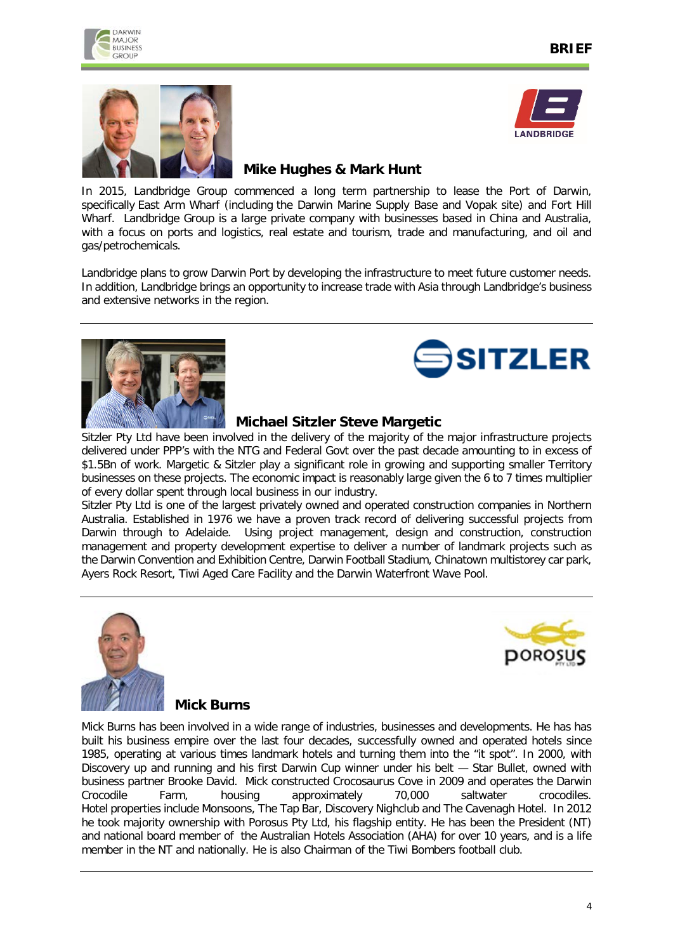





# **Mike Hughes & Mark Hunt**

In 2015, Landbridge Group commenced a long term partnership to lease the Port of Darwin, specifically East Arm Wharf (including the Darwin Marine Supply Base and Vopak site) and Fort Hill Wharf. Landbridge Group is a large private company with businesses based in China and Australia, with a focus on ports and logistics, real estate and tourism, trade and manufacturing, and oil and gas/petrochemicals.

Landbridge plans to grow Darwin Port by developing the infrastructure to meet future customer needs. In addition, Landbridge brings an opportunity to increase trade with Asia through Landbridge's business and extensive networks in the region.





#### **Michael Sitzler Steve Margetic**

Sitzler Pty Ltd have been involved in the delivery of the majority of the major infrastructure projects delivered under PPP's with the NTG and Federal Govt over the past decade amounting to in excess of \$1.5Bn of work. Margetic & Sitzler play a significant role in growing and supporting smaller Territory businesses on these projects. The economic impact is reasonably large given the 6 to 7 times multiplier of every dollar spent through local business in our industry.

Sitzler Pty Ltd is one of the largest privately owned and operated construction companies in Northern Australia. Established in 1976 we have a proven track record of delivering successful projects from Darwin through to Adelaide. Using project management, design and construction, construction management and property development expertise to deliver a number of landmark projects such as the Darwin Convention and Exhibition Centre, Darwin Football Stadium, Chinatown multistorey car park, Ayers Rock Resort, Tiwi Aged Care Facility and the Darwin Waterfront Wave Pool.





#### **Mick Burns**

Mick Burns has been involved in a wide range of industries, businesses and developments. He has has built his business empire over the last four decades, successfully owned and operated hotels since 1985, operating at various times landmark hotels and turning them into the "it spot". In 2000, with Discovery up and running and his first Darwin Cup winner under his belt — Star Bullet, owned with business partner Brooke David. Mick constructed Crocosaurus Cove in 2009 and operates the Darwin Crocodile Farm, housing approximately 70,000 saltwater crocodiles. Hotel properties include Monsoons, The Tap Bar, Discovery Nighclub and The Cavenagh Hotel. In 2012 he took majority ownership with Porosus Pty Ltd, his flagship entity. He has been the President (NT) and national board member of the Australian Hotels Association (AHA) for over 10 years, and is a life member in the NT and nationally. He is also Chairman of the Tiwi Bombers football club.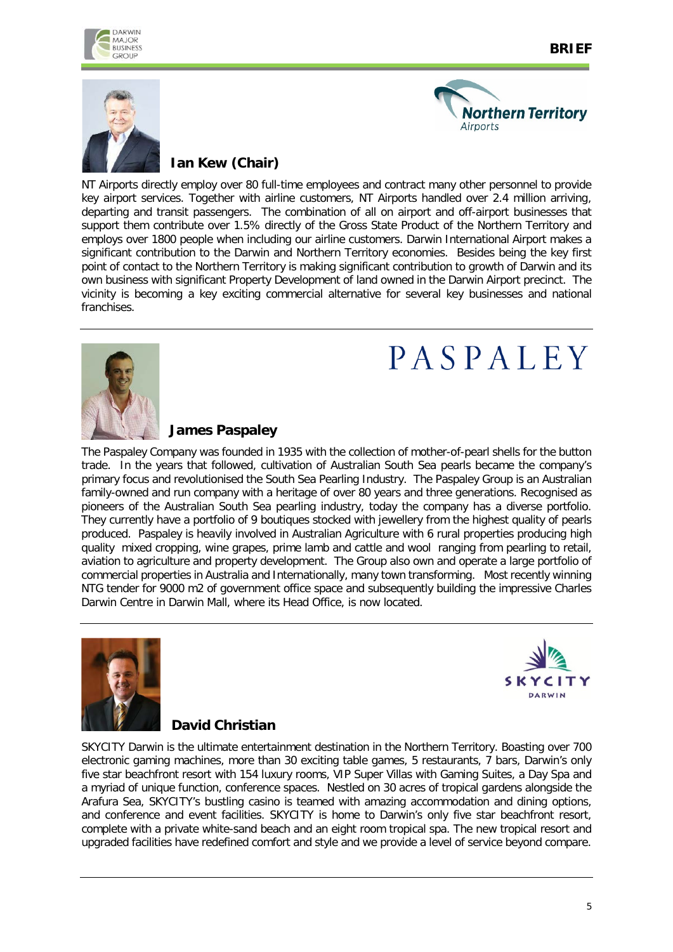





# **Ian Kew (Chair)**

NT Airports directly employ over 80 full-time employees and contract many other personnel to provide key airport services. Together with airline customers, NT Airports handled over 2.4 million arriving, departing and transit passengers. The combination of all on airport and off-airport businesses that support them contribute over 1.5% directly of the Gross State Product of the Northern Territory and employs over 1800 people when including our airline customers. Darwin International Airport makes a significant contribution to the Darwin and Northern Territory economies. Besides being the key first point of contact to the Northern Territory is making significant contribution to growth of Darwin and its own business with significant Property Development of land owned in the Darwin Airport precinct. The vicinity is becoming a key exciting commercial alternative for several key businesses and national franchises.



# PASPALEY

#### **James Paspaley**

The Paspaley Company was founded in 1935 with the collection of mother-of-pearl shells for the button trade. In the years that followed, cultivation of Australian South Sea pearls became the company's primary focus and revolutionised the South Sea Pearling Industry. The Paspaley Group is an Australian family-owned and run company with a heritage of over 80 years and three generations. Recognised as pioneers of the Australian South Sea pearling industry, today the company has a diverse portfolio. They currently have a portfolio of 9 boutiques stocked with jewellery from the highest quality of pearls produced. Paspaley is heavily involved in Australian Agriculture with 6 rural properties producing high quality mixed cropping, wine grapes, prime lamb and cattle and wool ranging from pearling to retail, aviation to agriculture and property development. The Group also own and operate a large portfolio of commercial properties in Australia and Internationally, many town transforming. Most recently winning NTG tender for 9000 m2 of government office space and subsequently building the impressive Charles Darwin Centre in Darwin Mall, where its Head Office, is now located.





# **David Christian**

SKYCITY Darwin is the ultimate entertainment destination in the Northern Territory. Boasting over 700 electronic gaming machines, more than 30 exciting table games, 5 restaurants, 7 bars, Darwin's only five star beachfront resort with 154 luxury rooms, VIP Super Villas with Gaming Suites, a Day Spa and a myriad of unique function, conference spaces. Nestled on 30 acres of tropical gardens alongside the Arafura Sea, SKYCITY's bustling casino is teamed with amazing accommodation and dining options, and conference and event facilities. SKYCITY is home to Darwin's only five star beachfront resort, complete with a private white-sand beach and an eight room tropical spa. The new tropical resort and upgraded facilities have redefined comfort and style and we provide a level of service beyond compare.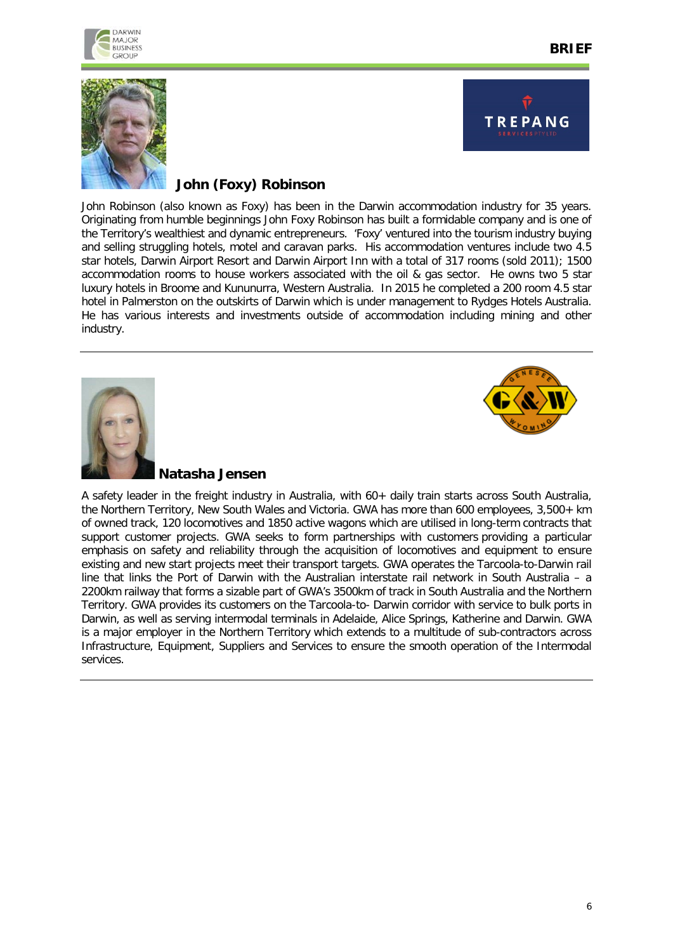



DARWIN **MAJOR BUSINESS** 



# **John (Foxy) Robinson**

John Robinson (also known as Foxy) has been in the Darwin accommodation industry for 35 years. Originating from humble beginnings John Foxy Robinson has built a formidable company and is one of the Territory's wealthiest and dynamic entrepreneurs. 'Foxy' ventured into the tourism industry buying and selling struggling hotels, motel and caravan parks. His accommodation ventures include two 4.5 star hotels, Darwin Airport Resort and Darwin Airport Inn with a total of 317 rooms (sold 2011); 1500 accommodation rooms to house workers associated with the oil & gas sector. He owns two 5 star luxury hotels in Broome and Kununurra, Western Australia. In 2015 he completed a 200 room 4.5 star hotel in Palmerston on the outskirts of Darwin which is under management to Rydges Hotels Australia. He has various interests and investments outside of accommodation including mining and other industry.





#### **Natasha Jensen**

A safety leader in the freight industry in Australia, with 60+ daily train starts across South Australia, the Northern Territory, New South Wales and Victoria. GWA has more than 600 employees, 3,500+ km of owned track, 120 locomotives and 1850 active wagons which are utilised in long-term contracts that support customer projects. GWA seeks to form partnerships with customers providing a particular emphasis on safety and reliability through the acquisition of locomotives and equipment to ensure existing and new start projects meet their transport targets. GWA operates the Tarcoola-to-Darwin rail line that links the Port of Darwin with the Australian interstate rail network in South Australia – a 2200km railway that forms a sizable part of GWA's 3500km of track in South Australia and the Northern Territory. GWA provides its customers on the Tarcoola-to- Darwin corridor with service to bulk ports in Darwin, as well as serving intermodal terminals in Adelaide, Alice Springs, Katherine and Darwin. GWA is a major employer in the Northern Territory which extends to a multitude of sub-contractors across Infrastructure, Equipment, Suppliers and Services to ensure the smooth operation of the Intermodal services.